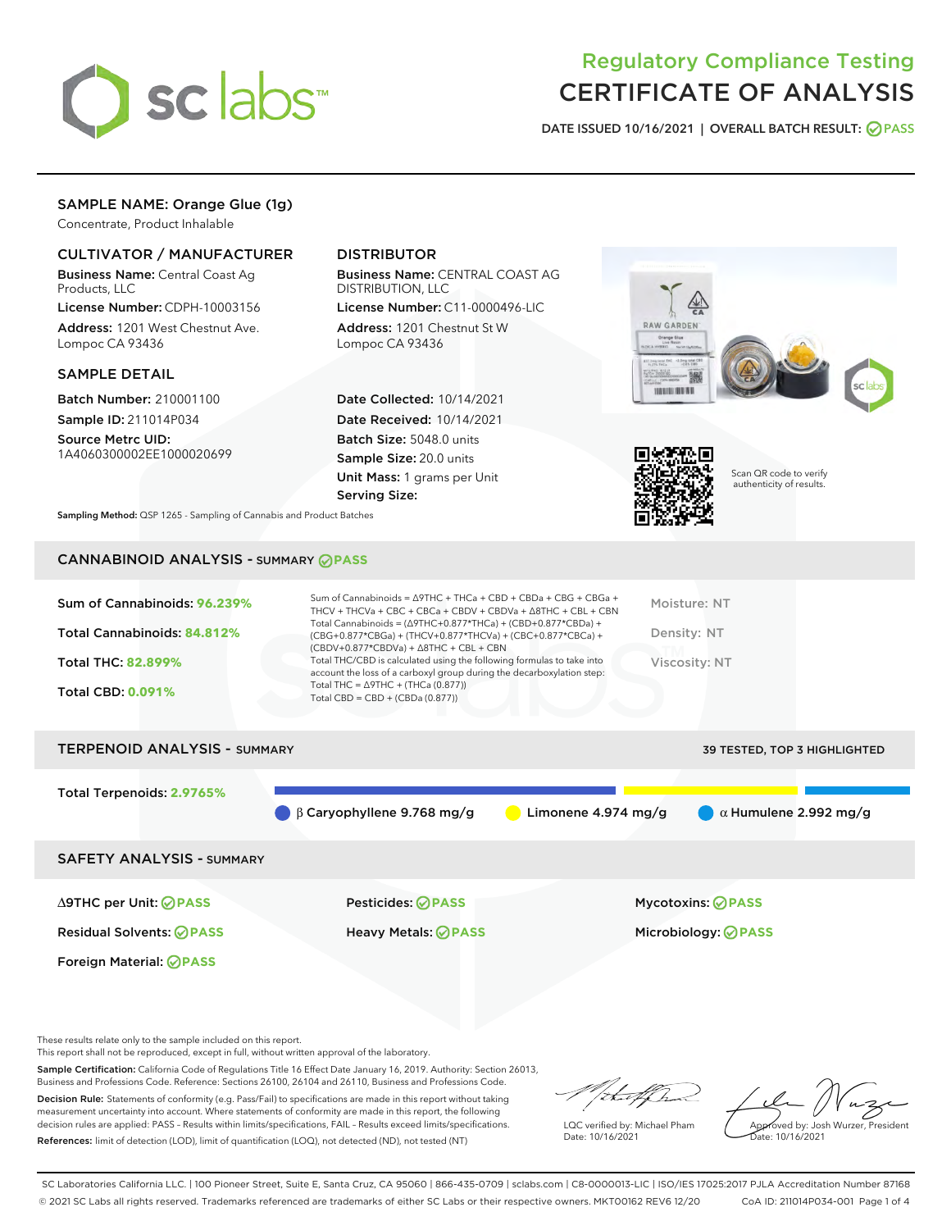

# Regulatory Compliance Testing CERTIFICATE OF ANALYSIS

DATE ISSUED 10/16/2021 | OVERALL BATCH RESULT: @ PASS

# SAMPLE NAME: Orange Glue (1g)

Concentrate, Product Inhalable

# CULTIVATOR / MANUFACTURER

Business Name: Central Coast Ag Products, LLC

License Number: CDPH-10003156 Address: 1201 West Chestnut Ave. Lompoc CA 93436

# SAMPLE DETAIL

Batch Number: 210001100 Sample ID: 211014P034

Source Metrc UID: 1A4060300002EE1000020699

# DISTRIBUTOR

Business Name: CENTRAL COAST AG DISTRIBUTION, LLC

License Number: C11-0000496-LIC Address: 1201 Chestnut St W Lompoc CA 93436

Date Collected: 10/14/2021 Date Received: 10/14/2021 Batch Size: 5048.0 units Sample Size: 20.0 units Unit Mass: 1 grams per Unit Serving Size:





Scan QR code to verify authenticity of results.

Sampling Method: QSP 1265 - Sampling of Cannabis and Product Batches

# CANNABINOID ANALYSIS - SUMMARY **PASS**

| Sum of Cannabinoids: 96.239% | Sum of Cannabinoids = $\triangle$ 9THC + THCa + CBD + CBDa + CBG + CBGa +<br>THCV + THCVa + CBC + CBCa + CBDV + CBDVa + $\Delta$ 8THC + CBL + CBN                                    | Moisture: NT  |
|------------------------------|--------------------------------------------------------------------------------------------------------------------------------------------------------------------------------------|---------------|
| Total Cannabinoids: 84.812%  | Total Cannabinoids = $(\Delta$ 9THC+0.877*THCa) + (CBD+0.877*CBDa) +<br>(CBG+0.877*CBGa) + (THCV+0.877*THCVa) + (CBC+0.877*CBCa) +<br>$(CBDV+0.877*CBDVa) + \Delta 8THC + CBL + CBN$ | Density: NT   |
| <b>Total THC: 82.899%</b>    | Total THC/CBD is calculated using the following formulas to take into<br>account the loss of a carboxyl group during the decarboxylation step:                                       | Viscosity: NT |
| <b>Total CBD: 0.091%</b>     | Total THC = $\triangle$ 9THC + (THCa (0.877))<br>Total CBD = $CBD + (CBDa (0.877))$                                                                                                  |               |

| <b>TERPENOID ANALYSIS - SUMMARY</b> |                                             |                       | <b>39 TESTED, TOP 3 HIGHLIGHTED</b> |
|-------------------------------------|---------------------------------------------|-----------------------|-------------------------------------|
| Total Terpenoids: 2.9765%           |                                             |                       |                                     |
|                                     | $\bigcirc$ $\beta$ Caryophyllene 9.768 mg/g | Limonene $4.974$ mg/g | $\alpha$ Humulene 2.992 mg/g        |
| <b>SAFETY ANALYSIS - SUMMARY</b>    |                                             |                       |                                     |
|                                     |                                             |                       |                                     |

Foreign Material: **PASS**

∆9THC per Unit: **PASS** Pesticides: **PASS** Mycotoxins: **PASS**

Residual Solvents: **PASS** Heavy Metals: **PASS** Microbiology: **PASS**

These results relate only to the sample included on this report.

This report shall not be reproduced, except in full, without written approval of the laboratory.

Sample Certification: California Code of Regulations Title 16 Effect Date January 16, 2019. Authority: Section 26013, Business and Professions Code. Reference: Sections 26100, 26104 and 26110, Business and Professions Code. Decision Rule: Statements of conformity (e.g. Pass/Fail) to specifications are made in this report without taking

measurement uncertainty into account. Where statements of conformity are made in this report, the following decision rules are applied: PASS – Results within limits/specifications, FAIL – Results exceed limits/specifications. References: limit of detection (LOD), limit of quantification (LOQ), not detected (ND), not tested (NT)

that f ha

LQC verified by: Michael Pham Date: 10/16/2021

Approved by: Josh Wurzer, President ate: 10/16/2021

SC Laboratories California LLC. | 100 Pioneer Street, Suite E, Santa Cruz, CA 95060 | 866-435-0709 | sclabs.com | C8-0000013-LIC | ISO/IES 17025:2017 PJLA Accreditation Number 87168 © 2021 SC Labs all rights reserved. Trademarks referenced are trademarks of either SC Labs or their respective owners. MKT00162 REV6 12/20 CoA ID: 211014P034-001 Page 1 of 4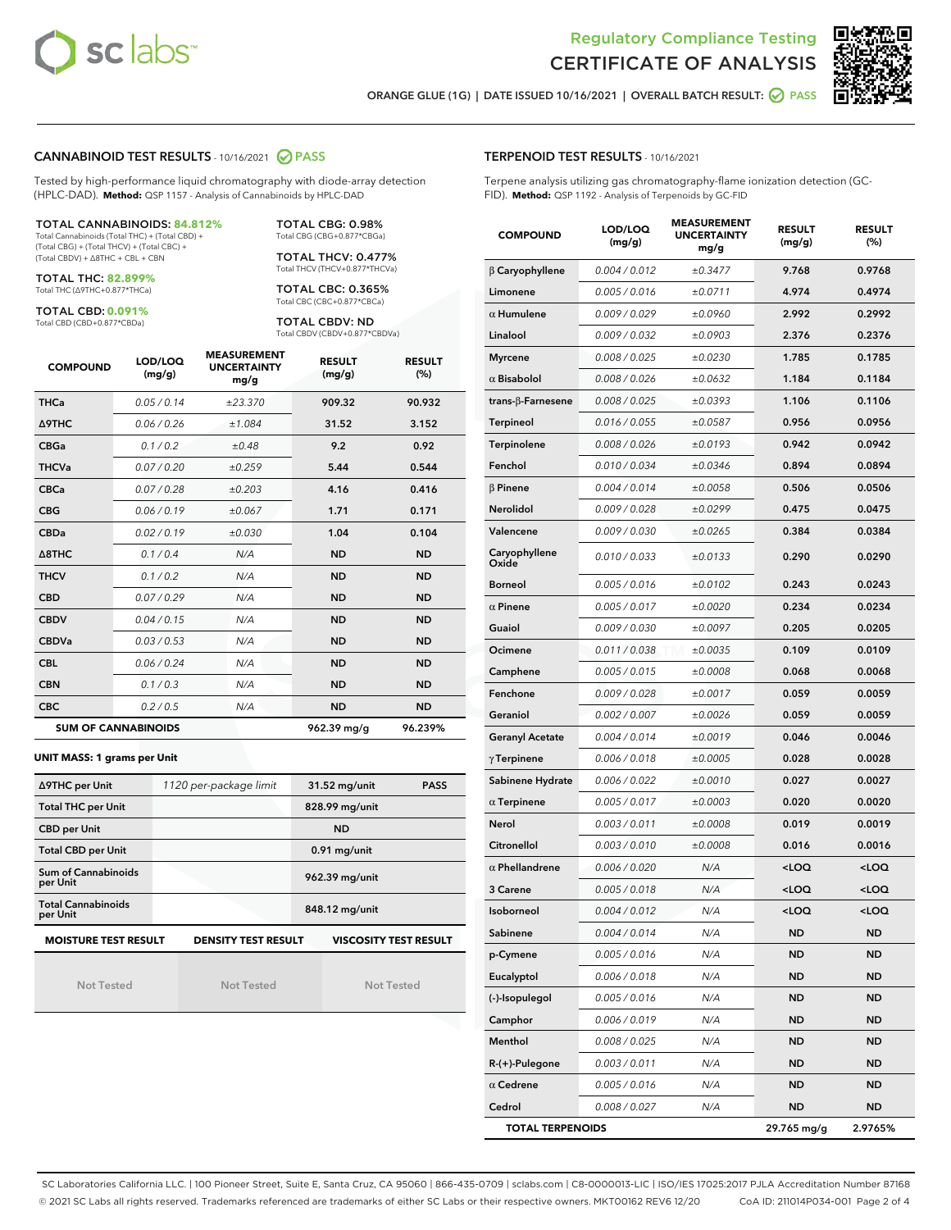



ORANGE GLUE (1G) | DATE ISSUED 10/16/2021 | OVERALL BATCH RESULT:  $\bigcirc$  PASS

### CANNABINOID TEST RESULTS - 10/16/2021 2 PASS

Tested by high-performance liquid chromatography with diode-array detection (HPLC-DAD). **Method:** QSP 1157 - Analysis of Cannabinoids by HPLC-DAD

#### TOTAL CANNABINOIDS: **84.812%**

Total Cannabinoids (Total THC) + (Total CBD) + (Total CBG) + (Total THCV) + (Total CBC) + (Total CBDV) + ∆8THC + CBL + CBN

TOTAL THC: **82.899%** Total THC (∆9THC+0.877\*THCa)

TOTAL CBD: **0.091%**

Total CBD (CBD+0.877\*CBDa)

TOTAL CBG: 0.98% Total CBG (CBG+0.877\*CBGa)

TOTAL THCV: 0.477% Total THCV (THCV+0.877\*THCVa)

TOTAL CBC: 0.365% Total CBC (CBC+0.877\*CBCa)

TOTAL CBDV: ND Total CBDV (CBDV+0.877\*CBDVa)

| <b>COMPOUND</b>            | LOD/LOQ<br>(mg/g) | <b>MEASUREMENT</b><br><b>UNCERTAINTY</b><br>mg/g | <b>RESULT</b><br>(mg/g) | <b>RESULT</b><br>(%) |
|----------------------------|-------------------|--------------------------------------------------|-------------------------|----------------------|
| <b>THCa</b>                | 0.05/0.14         | ±23.370                                          | 909.32                  | 90.932               |
| <b>A9THC</b>               | 0.06 / 0.26       | ±1.084                                           | 31.52                   | 3.152                |
| <b>CBGa</b>                | 0.1 / 0.2         | ±0.48                                            | 9.2                     | 0.92                 |
| <b>THCVa</b>               | 0.07/0.20         | ±0.259                                           | 5.44                    | 0.544                |
| <b>CBCa</b>                | 0.07 / 0.28       | ±0.203                                           | 4.16                    | 0.416                |
| <b>CBG</b>                 | 0.06/0.19         | ±0.067                                           | 1.71                    | 0.171                |
| <b>CBDa</b>                | 0.02/0.19         | ±0.030                                           | 1.04                    | 0.104                |
| $\triangle$ 8THC           | 0.1/0.4           | N/A                                              | <b>ND</b>               | <b>ND</b>            |
| <b>THCV</b>                | 0.1/0.2           | N/A                                              | <b>ND</b>               | <b>ND</b>            |
| <b>CBD</b>                 | 0.07/0.29         | N/A                                              | <b>ND</b>               | <b>ND</b>            |
| <b>CBDV</b>                | 0.04 / 0.15       | N/A                                              | <b>ND</b>               | <b>ND</b>            |
| <b>CBDVa</b>               | 0.03 / 0.53       | N/A                                              | <b>ND</b>               | <b>ND</b>            |
| <b>CBL</b>                 | 0.06 / 0.24       | N/A                                              | <b>ND</b>               | <b>ND</b>            |
| <b>CBN</b>                 | 0.1/0.3           | N/A                                              | <b>ND</b>               | <b>ND</b>            |
| <b>CBC</b>                 | 0.2 / 0.5         | N/A                                              | <b>ND</b>               | <b>ND</b>            |
| <b>SUM OF CANNABINOIDS</b> |                   |                                                  | 962.39 mg/g             | 96.239%              |

#### **UNIT MASS: 1 grams per Unit**

| ∆9THC per Unit                        | 1120 per-package limit     | 31.52 mg/unit<br><b>PASS</b> |  |
|---------------------------------------|----------------------------|------------------------------|--|
| <b>Total THC per Unit</b>             |                            | 828.99 mg/unit               |  |
| <b>CBD per Unit</b>                   |                            | <b>ND</b>                    |  |
| <b>Total CBD per Unit</b>             |                            | $0.91$ mg/unit               |  |
| Sum of Cannabinoids<br>per Unit       |                            | 962.39 mg/unit               |  |
| <b>Total Cannabinoids</b><br>per Unit |                            | 848.12 mg/unit               |  |
| <b>MOISTURE TEST RESULT</b>           | <b>DENSITY TEST RESULT</b> | <b>VISCOSITY TEST RESULT</b> |  |

Not Tested

Not Tested

Not Tested

Terpene analysis utilizing gas chromatography-flame ionization detection (GC-FID). **Method:** QSP 1192 - Analysis of Terpenoids by GC-FID

| <b>COMPOUND</b>           | LOD/LOQ<br>(mg/g) | <b>MEASUREMENT</b><br><b>UNCERTAINTY</b><br>mg/g | <b>RESULT</b><br>(mg/g)                         | <b>RESULT</b><br>(%) |
|---------------------------|-------------------|--------------------------------------------------|-------------------------------------------------|----------------------|
| $\beta$ Caryophyllene     | 0.004 / 0.012     | ±0.3477                                          | 9.768                                           | 0.9768               |
| Limonene                  | 0.005 / 0.016     | ±0.0711                                          | 4.974                                           | 0.4974               |
| $\alpha$ Humulene         | 0.009/0.029       | ±0.0960                                          | 2.992                                           | 0.2992               |
| Linalool                  | 0.009 / 0.032     | ±0.0903                                          | 2.376                                           | 0.2376               |
| <b>Myrcene</b>            | 0.008 / 0.025     | ±0.0230                                          | 1.785                                           | 0.1785               |
| $\alpha$ Bisabolol        | 0.008 / 0.026     | ±0.0632                                          | 1.184                                           | 0.1184               |
| trans- $\beta$ -Farnesene | 0.008 / 0.025     | ±0.0393                                          | 1.106                                           | 0.1106               |
| <b>Terpineol</b>          | 0.016 / 0.055     | ±0.0587                                          | 0.956                                           | 0.0956               |
| Terpinolene               | 0.008 / 0.026     | ±0.0193                                          | 0.942                                           | 0.0942               |
| Fenchol                   | 0.010 / 0.034     | ±0.0346                                          | 0.894                                           | 0.0894               |
| $\beta$ Pinene            | 0.004 / 0.014     | ±0.0058                                          | 0.506                                           | 0.0506               |
| Nerolidol                 | 0.009 / 0.028     | ±0.0299                                          | 0.475                                           | 0.0475               |
| Valencene                 | 0.009 / 0.030     | ±0.0265                                          | 0.384                                           | 0.0384               |
| Caryophyllene<br>Oxide    | 0.010 / 0.033     | ±0.0133                                          | 0.290                                           | 0.0290               |
| <b>Borneol</b>            | 0.005 / 0.016     | ±0.0102                                          | 0.243                                           | 0.0243               |
| $\alpha$ Pinene           | 0.005 / 0.017     | ±0.0020                                          | 0.234                                           | 0.0234               |
| Guaiol                    | 0.009 / 0.030     | ±0.0097                                          | 0.205                                           | 0.0205               |
| Ocimene                   | 0.011 / 0.038     | ±0.0035                                          | 0.109                                           | 0.0109               |
| Camphene                  | 0.005 / 0.015     | ±0.0008                                          | 0.068                                           | 0.0068               |
| Fenchone                  | 0.009 / 0.028     | ±0.0017                                          | 0.059                                           | 0.0059               |
| Geraniol                  | 0.002 / 0.007     | ±0.0026                                          | 0.059                                           | 0.0059               |
| <b>Geranyl Acetate</b>    | 0.004 / 0.014     | ±0.0019                                          | 0.046                                           | 0.0046               |
| $\gamma$ Terpinene        | 0.006 / 0.018     | ±0.0005                                          | 0.028                                           | 0.0028               |
| Sabinene Hydrate          | 0.006 / 0.022     | ±0.0010                                          | 0.027                                           | 0.0027               |
| $\alpha$ Terpinene        | 0.005 / 0.017     | ±0.0003                                          | 0.020                                           | 0.0020               |
| Nerol                     | 0.003 / 0.011     | ±0.0008                                          | 0.019                                           | 0.0019               |
| Citronellol               | 0.003 / 0.010     | ±0.0008                                          | 0.016                                           | 0.0016               |
| $\alpha$ Phellandrene     | 0.006 / 0.020     | N/A                                              | <loq< th=""><th><loq< th=""></loq<></th></loq<> | <loq< th=""></loq<>  |
| 3 Carene                  | 0.005 / 0.018     | N/A                                              | <loq< th=""><th><loq< th=""></loq<></th></loq<> | <loq< th=""></loq<>  |
| Isoborneol                | 0.004 / 0.012     | N/A                                              | $<$ l OO                                        | $\sim$ 0.0           |
| Sabinene                  | 0.004 / 0.014     | N/A                                              | ND                                              | ND                   |
| p-Cymene                  | 0.005 / 0.016     | N/A                                              | <b>ND</b>                                       | ND                   |
| Eucalyptol                | 0.006 / 0.018     | N/A                                              | ND                                              | ND                   |
| (-)-Isopulegol            | 0.005 / 0.016     | N/A                                              | ND                                              | ND                   |
| Camphor                   | 0.006 / 0.019     | N/A                                              | ND                                              | ND                   |
| Menthol                   | 0.008 / 0.025     | N/A                                              | ND                                              | ND                   |
| R-(+)-Pulegone            | 0.003 / 0.011     | N/A                                              | ND                                              | ND                   |
| $\alpha$ Cedrene          | 0.005 / 0.016     | N/A                                              | ND                                              | ND                   |
| Cedrol                    | 0.008 / 0.027     | N/A                                              | ND                                              | ND                   |
| <b>TOTAL TERPENOIDS</b>   |                   |                                                  | 29.765 mg/g                                     | 2.9765%              |

SC Laboratories California LLC. | 100 Pioneer Street, Suite E, Santa Cruz, CA 95060 | 866-435-0709 | sclabs.com | C8-0000013-LIC | ISO/IES 17025:2017 PJLA Accreditation Number 87168 © 2021 SC Labs all rights reserved. Trademarks referenced are trademarks of either SC Labs or their respective owners. MKT00162 REV6 12/20 CoA ID: 211014P034-001 Page 2 of 4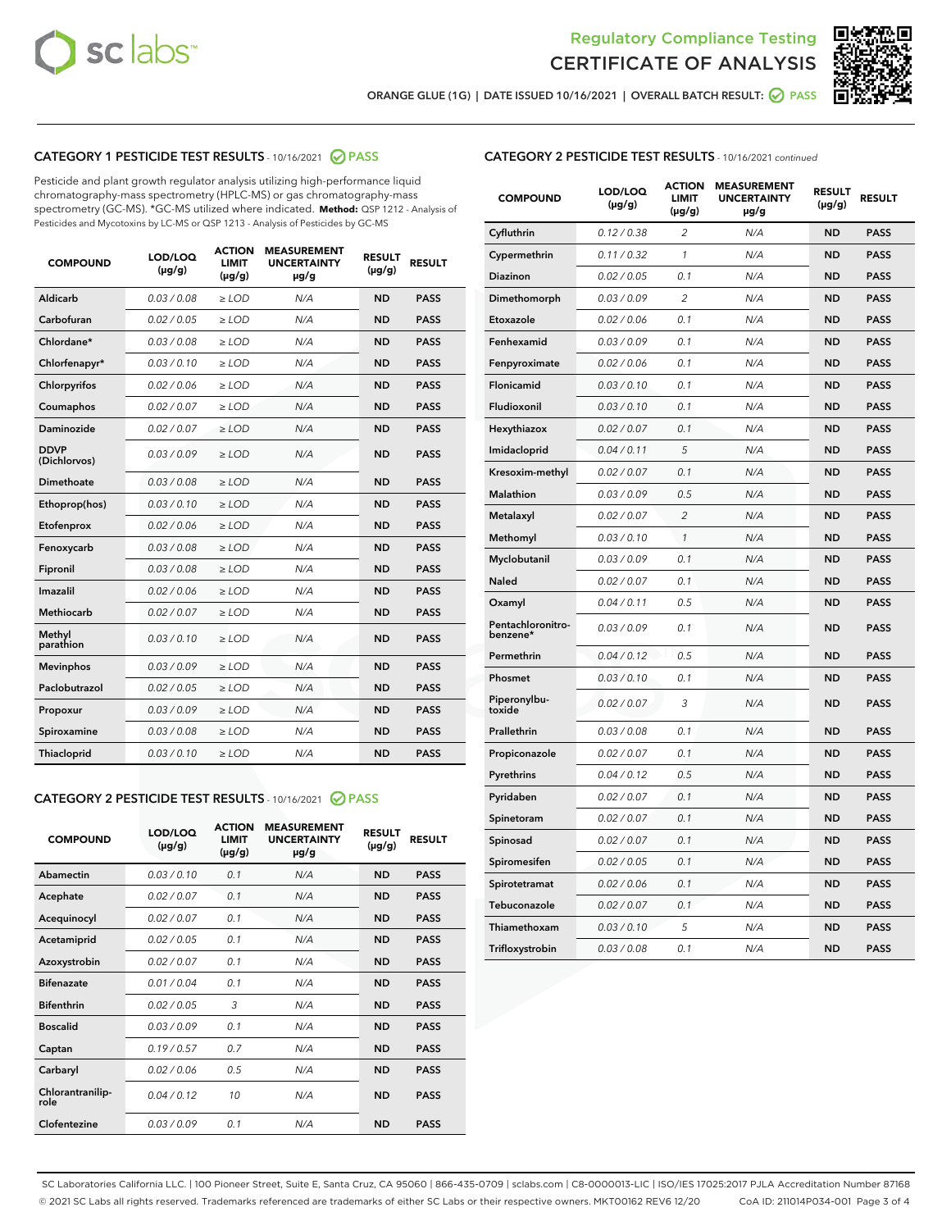



ORANGE GLUE (1G) | DATE ISSUED 10/16/2021 | OVERALL BATCH RESULT: O PASS

# CATEGORY 1 PESTICIDE TEST RESULTS - 10/16/2021 2 PASS

Pesticide and plant growth regulator analysis utilizing high-performance liquid chromatography-mass spectrometry (HPLC-MS) or gas chromatography-mass spectrometry (GC-MS). \*GC-MS utilized where indicated. **Method:** QSP 1212 - Analysis of Pesticides and Mycotoxins by LC-MS or QSP 1213 - Analysis of Pesticides by GC-MS

| <b>COMPOUND</b>             | LOD/LOQ<br>$(\mu g/g)$ | <b>ACTION</b><br><b>LIMIT</b><br>$(\mu g/g)$ | <b>MEASUREMENT</b><br><b>UNCERTAINTY</b><br>$\mu$ g/g | <b>RESULT</b><br>$(\mu g/g)$ | <b>RESULT</b> |
|-----------------------------|------------------------|----------------------------------------------|-------------------------------------------------------|------------------------------|---------------|
| Aldicarb                    | 0.03 / 0.08            | $\ge$ LOD                                    | N/A                                                   | <b>ND</b>                    | <b>PASS</b>   |
| Carbofuran                  | 0.02 / 0.05            | $\ge$ LOD                                    | N/A                                                   | <b>ND</b>                    | <b>PASS</b>   |
| Chlordane*                  | 0.03 / 0.08            | $\ge$ LOD                                    | N/A                                                   | <b>ND</b>                    | <b>PASS</b>   |
| Chlorfenapyr*               | 0.03/0.10              | $\ge$ LOD                                    | N/A                                                   | <b>ND</b>                    | <b>PASS</b>   |
| Chlorpyrifos                | 0.02 / 0.06            | $>$ LOD                                      | N/A                                                   | <b>ND</b>                    | <b>PASS</b>   |
| Coumaphos                   | 0.02 / 0.07            | $\ge$ LOD                                    | N/A                                                   | <b>ND</b>                    | <b>PASS</b>   |
| Daminozide                  | 0.02/0.07              | $>$ LOD                                      | N/A                                                   | <b>ND</b>                    | <b>PASS</b>   |
| <b>DDVP</b><br>(Dichlorvos) | 0.03/0.09              | $\ge$ LOD                                    | N/A                                                   | <b>ND</b>                    | <b>PASS</b>   |
| <b>Dimethoate</b>           | 0.03/0.08              | $\ge$ LOD                                    | N/A                                                   | <b>ND</b>                    | <b>PASS</b>   |
| Ethoprop(hos)               | 0.03/0.10              | $\ge$ LOD                                    | N/A                                                   | <b>ND</b>                    | <b>PASS</b>   |
| Etofenprox                  | 0.02 / 0.06            | $\ge$ LOD                                    | N/A                                                   | <b>ND</b>                    | <b>PASS</b>   |
| Fenoxycarb                  | 0.03/0.08              | $\ge$ LOD                                    | N/A                                                   | <b>ND</b>                    | <b>PASS</b>   |
| Fipronil                    | 0.03 / 0.08            | $\ge$ LOD                                    | N/A                                                   | <b>ND</b>                    | <b>PASS</b>   |
| Imazalil                    | 0.02 / 0.06            | $>$ LOD                                      | N/A                                                   | <b>ND</b>                    | <b>PASS</b>   |
| <b>Methiocarb</b>           | 0.02 / 0.07            | $\ge$ LOD                                    | N/A                                                   | <b>ND</b>                    | <b>PASS</b>   |
| Methyl<br>parathion         | 0.03/0.10              | $\ge$ LOD                                    | N/A                                                   | <b>ND</b>                    | <b>PASS</b>   |
| <b>Mevinphos</b>            | 0.03/0.09              | $\ge$ LOD                                    | N/A                                                   | <b>ND</b>                    | <b>PASS</b>   |
| Paclobutrazol               | 0.02 / 0.05            | $\ge$ LOD                                    | N/A                                                   | <b>ND</b>                    | <b>PASS</b>   |
| Propoxur                    | 0.03/0.09              | $>$ LOD                                      | N/A                                                   | <b>ND</b>                    | <b>PASS</b>   |
| Spiroxamine                 | 0.03/0.08              | $\ge$ LOD                                    | N/A                                                   | <b>ND</b>                    | <b>PASS</b>   |
| Thiacloprid                 | 0.03/0.10              | $\ge$ LOD                                    | N/A                                                   | <b>ND</b>                    | <b>PASS</b>   |
|                             |                        |                                              |                                                       |                              |               |

# CATEGORY 2 PESTICIDE TEST RESULTS - 10/16/2021 @ PASS

| <b>COMPOUND</b>          | LOD/LOO<br>$(\mu g/g)$ | <b>ACTION</b><br>LIMIT<br>$(\mu g/g)$ | <b>MEASUREMENT</b><br><b>UNCERTAINTY</b><br>$\mu$ g/g | <b>RESULT</b><br>$(\mu g/g)$ | <b>RESULT</b> |  |
|--------------------------|------------------------|---------------------------------------|-------------------------------------------------------|------------------------------|---------------|--|
| Abamectin                | 0.03/0.10              | 0.1                                   | N/A                                                   | <b>ND</b>                    | <b>PASS</b>   |  |
| Acephate                 | 0.02/0.07              | 0.1                                   | N/A                                                   | <b>ND</b>                    | <b>PASS</b>   |  |
| Acequinocyl              | 0.02/0.07              | 0.1                                   | N/A                                                   | <b>ND</b>                    | <b>PASS</b>   |  |
| Acetamiprid              | 0.02/0.05              | 0.1                                   | N/A                                                   | <b>ND</b>                    | <b>PASS</b>   |  |
| Azoxystrobin             | 0.02/0.07              | 0.1                                   | N/A                                                   | <b>ND</b>                    | <b>PASS</b>   |  |
| <b>Bifenazate</b>        | 0.01/0.04              | 0.1                                   | N/A                                                   | <b>ND</b>                    | <b>PASS</b>   |  |
| <b>Bifenthrin</b>        | 0.02/0.05              | 3                                     | N/A                                                   | <b>ND</b>                    | <b>PASS</b>   |  |
| <b>Boscalid</b>          | 0.03/0.09              | 0.1                                   | N/A                                                   | <b>ND</b>                    | <b>PASS</b>   |  |
| Captan                   | 0.19/0.57              | 0.7                                   | N/A                                                   | <b>ND</b>                    | <b>PASS</b>   |  |
| Carbaryl                 | 0.02/0.06              | 0.5                                   | N/A                                                   | <b>ND</b>                    | <b>PASS</b>   |  |
| Chlorantranilip-<br>role | 0.04/0.12              | 10                                    | N/A                                                   | <b>ND</b>                    | <b>PASS</b>   |  |
| Clofentezine             | 0.03/0.09              | 0.1                                   | N/A                                                   | <b>ND</b>                    | <b>PASS</b>   |  |

| <b>COMPOUND</b>               | LOD/LOQ<br>(µg/g) | <b>ACTION</b><br>LIMIT<br>$(\mu g/g)$ | <b>MEASUREMENT</b><br><b>UNCERTAINTY</b><br>µg/g | <b>RESULT</b><br>(µg/g) | <b>RESULT</b> |
|-------------------------------|-------------------|---------------------------------------|--------------------------------------------------|-------------------------|---------------|
| Cyfluthrin                    | 0.12 / 0.38       | 2                                     | N/A                                              | <b>ND</b>               | <b>PASS</b>   |
| Cypermethrin                  | 0.11 / 0.32       | $\mathcal{I}$                         | N/A                                              | <b>ND</b>               | <b>PASS</b>   |
| Diazinon                      | 0.02 / 0.05       | 0.1                                   | N/A                                              | ND                      | <b>PASS</b>   |
| Dimethomorph                  | 0.03 / 0.09       | $\overline{2}$                        | N/A                                              | <b>ND</b>               | <b>PASS</b>   |
| Etoxazole                     | 0.02 / 0.06       | 0.1                                   | N/A                                              | <b>ND</b>               | <b>PASS</b>   |
| Fenhexamid                    | 0.03 / 0.09       | 0.1                                   | N/A                                              | <b>ND</b>               | <b>PASS</b>   |
| Fenpyroximate                 | 0.02 / 0.06       | 0.1                                   | N/A                                              | <b>ND</b>               | <b>PASS</b>   |
| Flonicamid                    | 0.03 / 0.10       | 0.1                                   | N/A                                              | <b>ND</b>               | <b>PASS</b>   |
| Fludioxonil                   | 0.03 / 0.10       | 0.1                                   | N/A                                              | <b>ND</b>               | <b>PASS</b>   |
| Hexythiazox                   | 0.02 / 0.07       | 0.1                                   | N/A                                              | <b>ND</b>               | <b>PASS</b>   |
| Imidacloprid                  | 0.04 / 0.11       | 5                                     | N/A                                              | <b>ND</b>               | <b>PASS</b>   |
| Kresoxim-methyl               | 0.02 / 0.07       | 0.1                                   | N/A                                              | <b>ND</b>               | <b>PASS</b>   |
| <b>Malathion</b>              | 0.03 / 0.09       | 0.5                                   | N/A                                              | <b>ND</b>               | <b>PASS</b>   |
| Metalaxyl                     | 0.02 / 0.07       | $\overline{2}$                        | N/A                                              | <b>ND</b>               | <b>PASS</b>   |
| Methomyl                      | 0.03 / 0.10       | 1                                     | N/A                                              | <b>ND</b>               | <b>PASS</b>   |
| Myclobutanil                  | 0.03 / 0.09       | 0.1                                   | N/A                                              | <b>ND</b>               | <b>PASS</b>   |
| Naled                         | 0.02 / 0.07       | 0.1                                   | N/A                                              | <b>ND</b>               | <b>PASS</b>   |
| Oxamyl                        | 0.04 / 0.11       | 0.5                                   | N/A                                              | <b>ND</b>               | <b>PASS</b>   |
| Pentachloronitro-<br>benzene* | 0.03 / 0.09       | 0.1                                   | N/A                                              | <b>ND</b>               | <b>PASS</b>   |
| Permethrin                    | 0.04 / 0.12       | 0.5                                   | N/A                                              | <b>ND</b>               | <b>PASS</b>   |
| Phosmet                       | 0.03/0.10         | 0.1                                   | N/A                                              | <b>ND</b>               | <b>PASS</b>   |
| Piperonylbu-<br>toxide        | 0.02 / 0.07       | 3                                     | N/A                                              | <b>ND</b>               | <b>PASS</b>   |
| Prallethrin                   | 0.03 / 0.08       | 0.1                                   | N/A                                              | <b>ND</b>               | <b>PASS</b>   |
| Propiconazole                 | 0.02 / 0.07       | 0.1                                   | N/A                                              | <b>ND</b>               | <b>PASS</b>   |
| Pyrethrins                    | 0.04 / 0.12       | 0.5                                   | N/A                                              | <b>ND</b>               | <b>PASS</b>   |
| Pyridaben                     | 0.02 / 0.07       | 0.1                                   | N/A                                              | <b>ND</b>               | <b>PASS</b>   |
| Spinetoram                    | 0.02 / 0.07       | 0.1                                   | N/A                                              | <b>ND</b>               | <b>PASS</b>   |
| Spinosad                      | 0.02 / 0.07       | 0.1                                   | N/A                                              | <b>ND</b>               | <b>PASS</b>   |
| Spiromesifen                  | 0.02 / 0.05       | 0.1                                   | N/A                                              | <b>ND</b>               | <b>PASS</b>   |
| Spirotetramat                 | 0.02 / 0.06       | 0.1                                   | N/A                                              | <b>ND</b>               | <b>PASS</b>   |
| Tebuconazole                  | 0.02 / 0.07       | 0.1                                   | N/A                                              | <b>ND</b>               | <b>PASS</b>   |
| Thiamethoxam                  | 0.03 / 0.10       | 5                                     | N/A                                              | <b>ND</b>               | <b>PASS</b>   |
| Trifloxystrobin               | 0.03 / 0.08       | 0.1                                   | N/A                                              | <b>ND</b>               | <b>PASS</b>   |

SC Laboratories California LLC. | 100 Pioneer Street, Suite E, Santa Cruz, CA 95060 | 866-435-0709 | sclabs.com | C8-0000013-LIC | ISO/IES 17025:2017 PJLA Accreditation Number 87168 © 2021 SC Labs all rights reserved. Trademarks referenced are trademarks of either SC Labs or their respective owners. MKT00162 REV6 12/20 CoA ID: 211014P034-001 Page 3 of 4